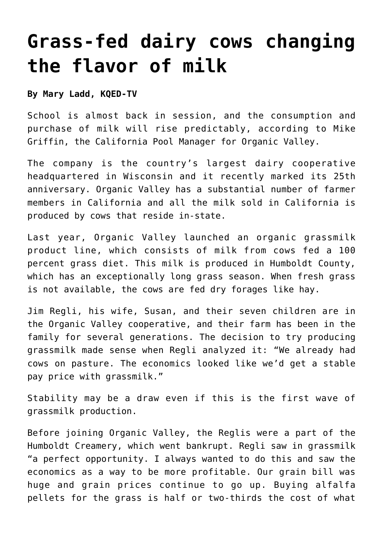## **[Grass-fed dairy cows changing](https://www.laketahoenews.net/2013/08/grass-fed-dairy-cows-changing-the-flavor-of-milk/) [the flavor of milk](https://www.laketahoenews.net/2013/08/grass-fed-dairy-cows-changing-the-flavor-of-milk/)**

## **By Mary Ladd, KQED-TV**

School is almost back in session, and the consumption and purchase of milk will rise predictably, according to Mike Griffin, the California Pool Manager for Organic Valley.

The company is the country's largest dairy cooperative headquartered in Wisconsin and it recently marked its 25th anniversary. Organic Valley has a substantial number of farmer members in California and all the milk sold in California is produced by cows that reside in-state.

Last year, Organic Valley launched an organic grassmilk product line, which consists of milk from cows fed a 100 percent grass diet. This milk is produced in Humboldt County, which has an exceptionally long grass season. When fresh grass is not available, the cows are fed dry forages like hay.

Jim Regli, his wife, Susan, and their seven children are in the Organic Valley cooperative, and their farm has been in the family for several generations. The decision to try producing grassmilk made sense when Regli analyzed it: "We already had cows on pasture. The economics looked like we'd get a stable pay price with grassmilk."

Stability may be a draw even if this is the first wave of grassmilk production.

Before joining Organic Valley, the Reglis were a part of the Humboldt Creamery, which went bankrupt. Regli saw in grassmilk "a perfect opportunity. I always wanted to do this and saw the economics as a way to be more profitable. Our grain bill was huge and grain prices continue to go up. Buying alfalfa pellets for the grass is half or two-thirds the cost of what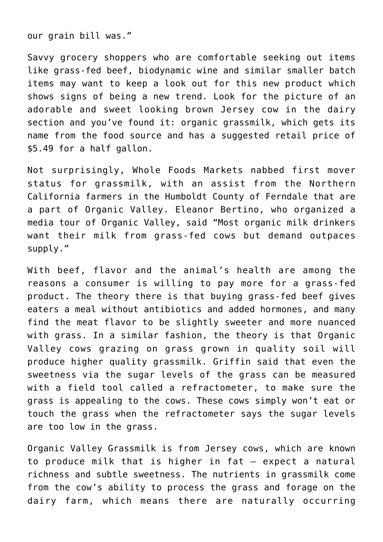our grain bill was."

Savvy grocery shoppers who are comfortable seeking out items like grass-fed beef, biodynamic wine and similar smaller batch items may want to keep a look out for this new product which shows signs of being a new trend. Look for the picture of an adorable and sweet looking brown Jersey cow in the dairy section and you've found it: organic grassmilk, which gets its name from the food source and has a suggested retail price of \$5.49 for a half gallon.

Not surprisingly, Whole Foods Markets nabbed first mover status for grassmilk, with an assist from the Northern California farmers in the Humboldt County of Ferndale that are a part of Organic Valley. Eleanor Bertino, who organized a media tour of Organic Valley, said "Most organic milk drinkers want their milk from grass-fed cows but demand outpaces supply."

With beef, flavor and the animal's health are among the reasons a consumer is willing to pay more for a grass-fed product. The theory there is that buying grass-fed beef gives eaters a meal without antibiotics and added hormones, and many find the meat flavor to be slightly sweeter and more nuanced with grass. In a similar fashion, the theory is that Organic Valley cows grazing on grass grown in quality soil will produce higher quality grassmilk. Griffin said that even the sweetness via the sugar levels of the grass can be measured with a field tool called a refractometer, to make sure the grass is appealing to the cows. These cows simply won't eat or touch the grass when the refractometer says the sugar levels are too low in the grass.

Organic Valley Grassmilk is from Jersey cows, which are known to produce milk that is higher in fat — expect a natural richness and subtle sweetness. The nutrients in grassmilk come from the cow's ability to process the grass and forage on the dairy farm, which means there are naturally occurring